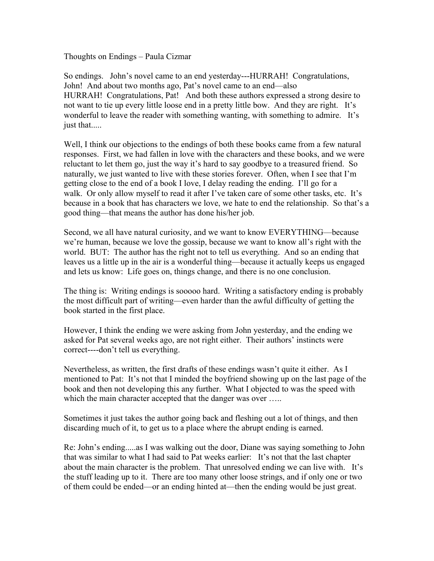Thoughts on Endings – Paula Cizmar

So endings. John's novel came to an end yesterday---HURRAH! Congratulations, John! And about two months ago, Pat's novel came to an end—also HURRAH! Congratulations, Pat! And both these authors expressed a strong desire to not want to tie up every little loose end in a pretty little bow. And they are right. It's wonderful to leave the reader with something wanting, with something to admire. It's just that.....

Well, I think our objections to the endings of both these books came from a few natural responses. First, we had fallen in love with the characters and these books, and we were reluctant to let them go, just the way it's hard to say goodbye to a treasured friend. So naturally, we just wanted to live with these stories forever. Often, when I see that I'm getting close to the end of a book I love, I delay reading the ending. I'll go for a walk. Or only allow myself to read it after I've taken care of some other tasks, etc. It's because in a book that has characters we love, we hate to end the relationship. So that's a good thing—that means the author has done his/her job.

Second, we all have natural curiosity, and we want to know EVERYTHING—because we're human, because we love the gossip, because we want to know all's right with the world. BUT: The author has the right not to tell us everything. And so an ending that leaves us a little up in the air is a wonderful thing—because it actually keeps us engaged and lets us know: Life goes on, things change, and there is no one conclusion.

The thing is: Writing endings is sooooo hard. Writing a satisfactory ending is probably the most difficult part of writing—even harder than the awful difficulty of getting the book started in the first place.

However, I think the ending we were asking from John yesterday, and the ending we asked for Pat several weeks ago, are not right either. Their authors' instincts were correct----don't tell us everything.

Nevertheless, as written, the first drafts of these endings wasn't quite it either. As I mentioned to Pat: It's not that I minded the boyfriend showing up on the last page of the book and then not developing this any further. What I objected to was the speed with which the main character accepted that the danger was over .....

Sometimes it just takes the author going back and fleshing out a lot of things, and then discarding much of it, to get us to a place where the abrupt ending is earned.

Re: John's ending.....as I was walking out the door, Diane was saying something to John that was similar to what I had said to Pat weeks earlier: It's not that the last chapter about the main character is the problem. That unresolved ending we can live with. It's the stuff leading up to it. There are too many other loose strings, and if only one or two of them could be ended—or an ending hinted at—then the ending would be just great.